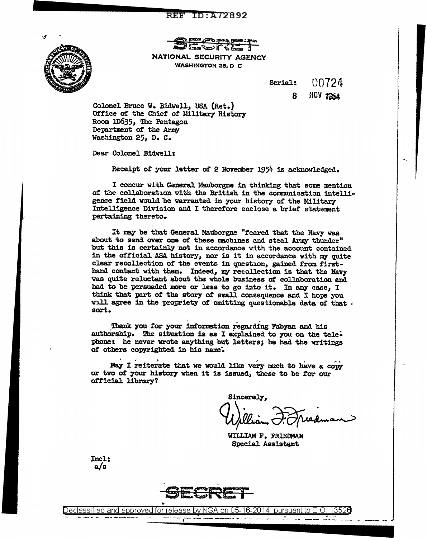## **REF ID:A72892**



Q ~, P'Ttl' (P'T) party your C20x *f4rai}* i:.~ rr "'· s NATIONAL SECURITY AGENCY WASHINGTON 25, D C

> Serial: C0724

> > 8 **NOV 1964**

Colonel Bruce W. Bidwell, USA (Ret.) Office of the Chief' or Military History Room 1D635, The Pentagon Department of the Army Washington 25, D. C.

Dear Colonel Bidwell:

I

Receipt of your letter ot 2 November 1954. is acknowledged.

I concur with General Mauborgne in thinking that some mention of the collaboration with the British in the communication intelligence field would be warranted in your history of the Military Intelligence Division and I therefore enclose a brief statement pertaining thereto.

It may be that General Mauborgne "feared that the Navy was about to send over one of these machines and steal Army thunder" but this is certainly not in accordance with the account contained in the official ASA history, nor is it in accordance with my quite clear recollection of the events in question, gained from firsthand contact with them. Indeed, my recollection is that the Navy was quite reluctant about the whole business of collaboration and bad to be persuaded more or less to go into it. In any case, I think that part of the story of small consequence and I hope you will agree in the propriety ot omitting questionable data *ot* that ' sort.

Thank you for your information regarding Fabyan and his authorship. The situation is as I explained to you on the telephone: he never wrote anything but letters; he had the writings *ot* others copyrighted in his name--.

May I reiterate that we would like very much to have a copy or two of your history when it is issued, these to be for our official library?

Sincerely, William F. Freedman

WILLIAM F. FRIEDMAN Special Assistant

Incl: a/s



Declassified and approved for release by NSA on 05-16-2014 pursuantto E .0 ~ 1 ~52a ----i---- --- ----- - -- -- - - - -- -- ---- --- - - -